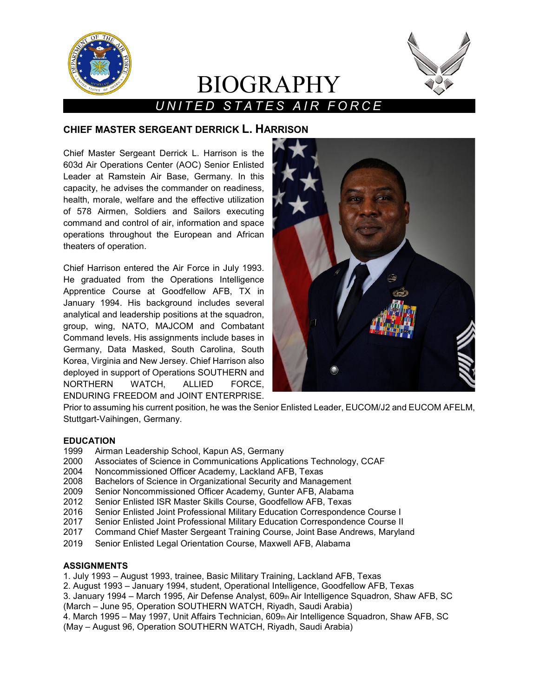

## *UNITED STATES AIR FORCE*

BIOGRAPHY

### **CHIEF MASTER SERGEANT DERRICK L. HARRISON**

Chief Master Sergeant Derrick L. Harrison is the 603d Air Operations Center (AOC) Senior Enlisted Leader at Ramstein Air Base, Germany. In this capacity, he advises the commander on readiness, health, morale, welfare and the effective utilization of 578 Airmen, Soldiers and Sailors executing command and control of air, information and space operations throughout the European and African theaters of operation.

Chief Harrison entered the Air Force in July 1993. He graduated from the Operations Intelligence Apprentice Course at Goodfellow AFB, TX in January 1994. His background includes several analytical and leadership positions at the squadron, group, wing, NATO, MAJCOM and Combatant Command levels. His assignments include bases in Germany, Data Masked, South Carolina, South Korea, Virginia and New Jersey. Chief Harrison also deployed in support of Operations SOUTHERN and NORTHERN WATCH, ALLIED FORCE, ENDURING FREEDOM and JOINT ENTERPRISE.



Prior to assuming his current position, he was the Senior Enlisted Leader, EUCOM/J2 and EUCOM AFELM, Stuttgart-Vaihingen, Germany.

# **EDUCATION**

- 1999 Airman Leadership School, Kapun AS, Germany
- Associates of Science in Communications Applications Technology, CCAF
- 2004 Noncommissioned Officer Academy, Lackland AFB, Texas
- 2008 Bachelors of Science in Organizational Security and Management
- Senior Noncommissioned Officer Academy, Gunter AFB, Alabama
- 2012 Senior Enlisted ISR Master Skills Course, Goodfellow AFB, Texas
- 2016 Senior Enlisted Joint Professional Military Education Correspondence Course I
- Senior Enlisted Joint Professional Military Education Correspondence Course II
- 2017 Command Chief Master Sergeant Training Course, Joint Base Andrews, Maryland
- 2019 Senior Enlisted Legal Orientation Course, Maxwell AFB, Alabama

#### **ASSIGNMENTS**

- 1. July 1993 August 1993, trainee, Basic Military Training, Lackland AFB, Texas
- 2. August 1993 January 1994, student, Operational Intelligence, Goodfellow AFB, Texas

3. January 1994 – March 1995, Air Defense Analyst, 609th Air Intelligence Squadron, Shaw AFB, SC (March – June 95, Operation SOUTHERN WATCH, Riyadh, Saudi Arabia)

4. March 1995 – May 1997, Unit Affairs Technician, 609th Air Intelligence Squadron, Shaw AFB, SC (May – August 96, Operation SOUTHERN WATCH, Riyadh, Saudi Arabia)